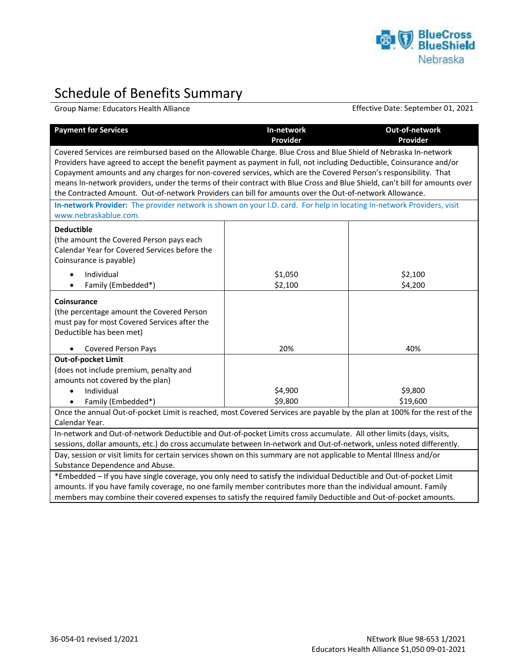

## Schedule of Benefits Summary

Group Name: Educators Health Alliance Effective Date: September 01, 2021

| <b>Payment for Services</b>                                                                                                                                                                                                                                                                                                                                                                                                                                                                                                                                                                          | In-network<br>Provider | Out-of-network<br>Provider |  |
|------------------------------------------------------------------------------------------------------------------------------------------------------------------------------------------------------------------------------------------------------------------------------------------------------------------------------------------------------------------------------------------------------------------------------------------------------------------------------------------------------------------------------------------------------------------------------------------------------|------------------------|----------------------------|--|
| Covered Services are reimbursed based on the Allowable Charge. Blue Cross and Blue Shield of Nebraska In-network<br>Providers have agreed to accept the benefit payment as payment in full, not including Deductible, Coinsurance and/or<br>Copayment amounts and any charges for non-covered services, which are the Covered Person's responsibility. That<br>means In-network providers, under the terms of their contract with Blue Cross and Blue Shield, can't bill for amounts over<br>the Contracted Amount. Out-of-network Providers can bill for amounts over the Out-of-network Allowance. |                        |                            |  |
| In-network Provider: The provider network is shown on your I.D. card. For help in locating In-network Providers, visit<br>www.nebraskablue.com.                                                                                                                                                                                                                                                                                                                                                                                                                                                      |                        |                            |  |
| <b>Deductible</b><br>(the amount the Covered Person pays each<br>Calendar Year for Covered Services before the<br>Coinsurance is payable)<br>Individual<br>Family (Embedded*)                                                                                                                                                                                                                                                                                                                                                                                                                        | \$1,050<br>\$2,100     | \$2,100<br>\$4,200         |  |
|                                                                                                                                                                                                                                                                                                                                                                                                                                                                                                                                                                                                      |                        |                            |  |
| Coinsurance<br>(the percentage amount the Covered Person<br>must pay for most Covered Services after the<br>Deductible has been met)                                                                                                                                                                                                                                                                                                                                                                                                                                                                 |                        |                            |  |
| <b>Covered Person Pays</b>                                                                                                                                                                                                                                                                                                                                                                                                                                                                                                                                                                           | 20%                    | 40%                        |  |
| Out-of-pocket Limit<br>(does not include premium, penalty and<br>amounts not covered by the plan)<br>Individual<br>$\bullet$                                                                                                                                                                                                                                                                                                                                                                                                                                                                         | \$4,900                | \$9,800                    |  |
| \$9,800<br>\$19,600<br>Family (Embedded*)<br>Once the annual Out-of-pocket Limit is reached, most Covered Services are payable by the plan at 100% for the rest of the                                                                                                                                                                                                                                                                                                                                                                                                                               |                        |                            |  |
| Calendar Year.                                                                                                                                                                                                                                                                                                                                                                                                                                                                                                                                                                                       |                        |                            |  |
| In-network and Out-of-network Deductible and Out-of-pocket Limits cross accumulate. All other limits (days, visits,<br>sessions, dollar amounts, etc.) do cross accumulate between In-network and Out-of-network, unless noted differently.<br>Day, session or visit limits for certain services shown on this summary are not applicable to Mental Illness and/or                                                                                                                                                                                                                                   |                        |                            |  |
| Substance Dependence and Abuse.                                                                                                                                                                                                                                                                                                                                                                                                                                                                                                                                                                      |                        |                            |  |
| *Embedded - If you have single coverage, you only need to satisfy the individual Deductible and Out-of-pocket Limit<br>amounts. If you have family coverage, no one family member contributes more than the individual amount. Family                                                                                                                                                                                                                                                                                                                                                                |                        |                            |  |

members may combine their covered expenses to satisfy the required family Deductible and Out-of-pocket amounts.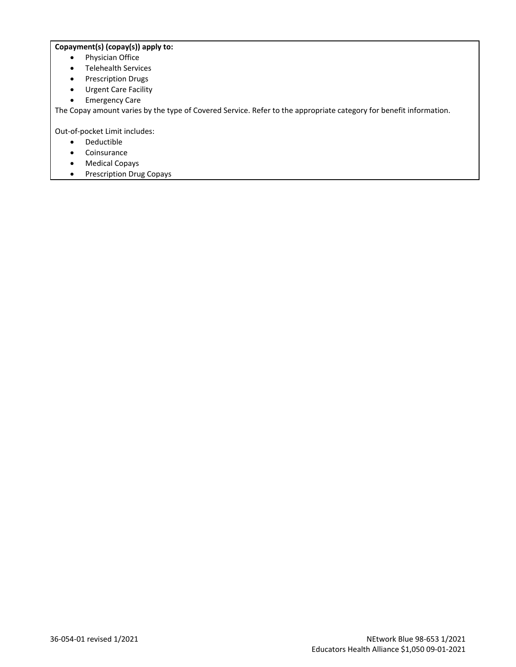## **Copayment(s) (copay(s)) apply to:**

- Physician Office
- Telehealth Services
- Prescription Drugs
- Urgent Care Facility
- Emergency Care

The Copay amount varies by the type of Covered Service. Refer to the appropriate category for benefit information.

Out-of-pocket Limit includes:

- Deductible
- Coinsurance
- Medical Copays
- Prescription Drug Copays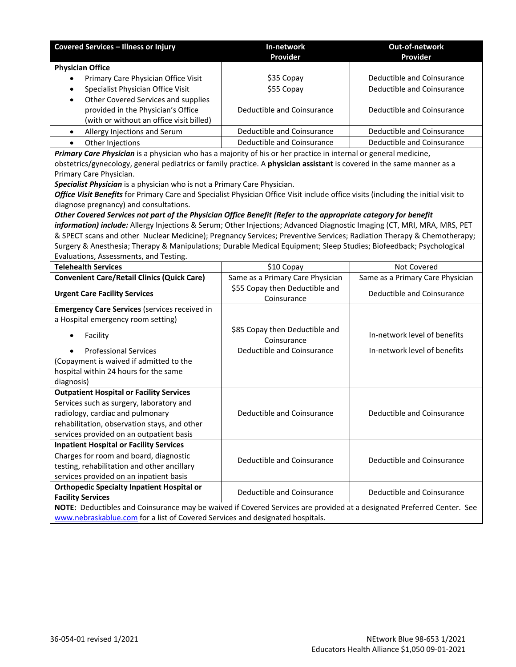| <b>Covered Services - Illness or Injury</b>                                                                                                        | In-network<br>Provider                        | Out-of-network<br>Provider       |
|----------------------------------------------------------------------------------------------------------------------------------------------------|-----------------------------------------------|----------------------------------|
| <b>Physician Office</b>                                                                                                                            |                                               |                                  |
| Primary Care Physician Office Visit                                                                                                                | \$35 Copay                                    | Deductible and Coinsurance       |
| Specialist Physician Office Visit<br>$\bullet$                                                                                                     | \$55 Copay                                    | Deductible and Coinsurance       |
| Other Covered Services and supplies<br>$\bullet$                                                                                                   |                                               |                                  |
| provided in the Physician's Office                                                                                                                 | Deductible and Coinsurance                    | Deductible and Coinsurance       |
| (with or without an office visit billed)                                                                                                           |                                               |                                  |
| Allergy Injections and Serum<br>$\bullet$                                                                                                          | Deductible and Coinsurance                    | Deductible and Coinsurance       |
| $\bullet$<br>Other Injections                                                                                                                      | Deductible and Coinsurance                    | Deductible and Coinsurance       |
| Primary Care Physician is a physician who has a majority of his or her practice in internal or general medicine,                                   |                                               |                                  |
| obstetrics/gynecology, general pediatrics or family practice. A physician assistant is covered in the same manner as a                             |                                               |                                  |
| Primary Care Physician.                                                                                                                            |                                               |                                  |
| Specialist Physician is a physician who is not a Primary Care Physician.                                                                           |                                               |                                  |
| Office Visit Benefits for Primary Care and Specialist Physician Office Visit include office visits (including the initial visit to                 |                                               |                                  |
| diagnose pregnancy) and consultations.                                                                                                             |                                               |                                  |
| Other Covered Services not part of the Physician Office Benefit (Refer to the appropriate category for benefit                                     |                                               |                                  |
| information) include: Allergy Injections & Serum; Other Injections; Advanced Diagnostic Imaging (CT, MRI, MRA, MRS, PET                            |                                               |                                  |
| & SPECT scans and other Nuclear Medicine); Pregnancy Services; Preventive Services; Radiation Therapy & Chemotherapy;                              |                                               |                                  |
| Surgery & Anesthesia; Therapy & Manipulations; Durable Medical Equipment; Sleep Studies; Biofeedback; Psychological                                |                                               |                                  |
| Evaluations, Assessments, and Testing.                                                                                                             |                                               |                                  |
| <b>Telehealth Services</b>                                                                                                                         | \$10 Copay                                    | Not Covered                      |
| <b>Convenient Care/Retail Clinics (Quick Care)</b>                                                                                                 | Same as a Primary Care Physician              | Same as a Primary Care Physician |
| <b>Urgent Care Facility Services</b>                                                                                                               | \$55 Copay then Deductible and<br>Coinsurance | Deductible and Coinsurance       |
| <b>Emergency Care Services (services received in</b>                                                                                               |                                               |                                  |
| a Hospital emergency room setting)                                                                                                                 |                                               |                                  |
| Facility                                                                                                                                           | \$85 Copay then Deductible and                | In-network level of benefits     |
|                                                                                                                                                    | Coinsurance                                   |                                  |
| <b>Professional Services</b>                                                                                                                       | Deductible and Coinsurance                    | In-network level of benefits     |
| (Copayment is waived if admitted to the                                                                                                            |                                               |                                  |
| hospital within 24 hours for the same                                                                                                              |                                               |                                  |
| diagnosis)                                                                                                                                         |                                               |                                  |
| <b>Outpatient Hospital or Facility Services</b>                                                                                                    |                                               |                                  |
| Services such as surgery, laboratory and                                                                                                           |                                               |                                  |
| radiology, cardiac and pulmonary                                                                                                                   | Deductible and Coinsurance                    | Deductible and Coinsurance       |
| rehabilitation, observation stays, and other                                                                                                       |                                               |                                  |
| services provided on an outpatient basis                                                                                                           |                                               |                                  |
| <b>Inpatient Hospital or Facility Services</b>                                                                                                     |                                               |                                  |
| Charges for room and board, diagnostic                                                                                                             | Deductible and Coinsurance                    | Deductible and Coinsurance       |
| testing, rehabilitation and other ancillary<br>services provided on an inpatient basis                                                             |                                               |                                  |
|                                                                                                                                                    |                                               |                                  |
| <b>Orthopedic Specialty Inpatient Hospital or</b>                                                                                                  | Deductible and Coinsurance                    | Deductible and Coinsurance       |
| <b>Facility Services</b><br>NOTE: Deductibles and Coinsurance may be waived if Covered Services are provided at a designated Preferred Center. See |                                               |                                  |
| www.nebraskablue.com for a list of Covered Services and designated hospitals.                                                                      |                                               |                                  |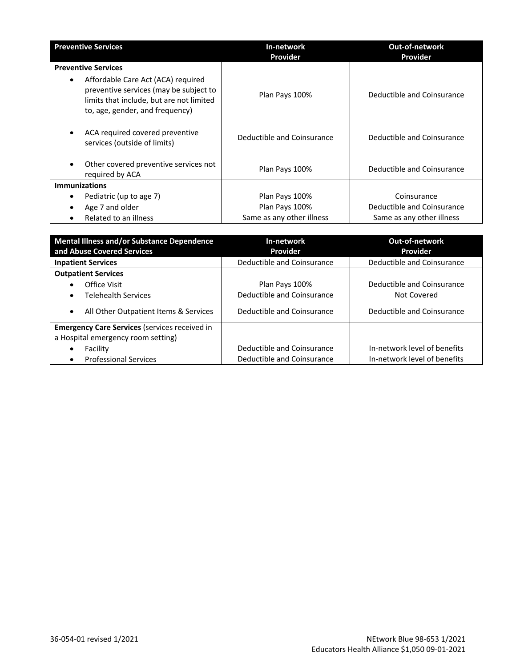| <b>Preventive Services</b>                                                                                                                                               | In-network                 | <b>Out-of-network</b>      |
|--------------------------------------------------------------------------------------------------------------------------------------------------------------------------|----------------------------|----------------------------|
|                                                                                                                                                                          | Provider                   | Provider                   |
| <b>Preventive Services</b>                                                                                                                                               |                            |                            |
| Affordable Care Act (ACA) required<br>$\bullet$<br>preventive services (may be subject to<br>limits that include, but are not limited<br>to, age, gender, and frequency) | Plan Pays 100%             | Deductible and Coinsurance |
| ACA required covered preventive<br>services (outside of limits)                                                                                                          | Deductible and Coinsurance | Deductible and Coinsurance |
| Other covered preventive services not<br>required by ACA                                                                                                                 | Plan Pays 100%             | Deductible and Coinsurance |
| <b>Immunizations</b>                                                                                                                                                     |                            |                            |
| Pediatric (up to age 7)                                                                                                                                                  | Plan Pays 100%             | Coinsurance                |
| Age 7 and older<br>٠                                                                                                                                                     | Plan Pays 100%             | Deductible and Coinsurance |
| Related to an illness                                                                                                                                                    | Same as any other illness  | Same as any other illness  |

| <b>Mental Illness and/or Substance Dependence</b><br>and Abuse Covered Services | In-network<br>Provider     | <b>Out-of-network</b><br>Provider |
|---------------------------------------------------------------------------------|----------------------------|-----------------------------------|
| <b>Inpatient Services</b>                                                       | Deductible and Coinsurance | Deductible and Coinsurance        |
| <b>Outpatient Services</b>                                                      |                            |                                   |
| Office Visit                                                                    | Plan Pays 100%             | Deductible and Coinsurance        |
| <b>Telehealth Services</b><br>٠                                                 | Deductible and Coinsurance | Not Covered                       |
| All Other Outpatient Items & Services<br>$\bullet$                              | Deductible and Coinsurance | Deductible and Coinsurance        |
| <b>Emergency Care Services (services received in</b>                            |                            |                                   |
| a Hospital emergency room setting)                                              |                            |                                   |
| Facility                                                                        | Deductible and Coinsurance | In-network level of benefits      |
| <b>Professional Services</b><br>$\bullet$                                       | Deductible and Coinsurance | In-network level of benefits      |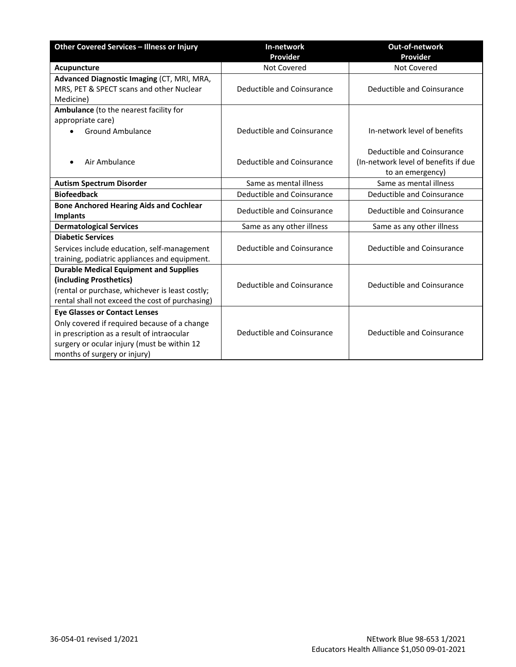| Other Covered Services - Illness or Injury                        | In-network<br>Provider     | Out-of-network<br>Provider                                                             |
|-------------------------------------------------------------------|----------------------------|----------------------------------------------------------------------------------------|
| Acupuncture                                                       | Not Covered                | Not Covered                                                                            |
| Advanced Diagnostic Imaging (CT, MRI, MRA,                        |                            |                                                                                        |
| MRS, PET & SPECT scans and other Nuclear                          | Deductible and Coinsurance | Deductible and Coinsurance                                                             |
| Medicine)                                                         |                            |                                                                                        |
| Ambulance (to the nearest facility for                            |                            |                                                                                        |
| appropriate care)                                                 |                            |                                                                                        |
| <b>Ground Ambulance</b>                                           | Deductible and Coinsurance | In-network level of benefits                                                           |
| Air Ambulance                                                     | Deductible and Coinsurance | Deductible and Coinsurance<br>(In-network level of benefits if due<br>to an emergency) |
| <b>Autism Spectrum Disorder</b>                                   | Same as mental illness     | Same as mental illness                                                                 |
| <b>Biofeedback</b>                                                | Deductible and Coinsurance | Deductible and Coinsurance                                                             |
| <b>Bone Anchored Hearing Aids and Cochlear</b><br><b>Implants</b> | Deductible and Coinsurance | Deductible and Coinsurance                                                             |
| <b>Dermatological Services</b>                                    | Same as any other illness  | Same as any other illness                                                              |
| <b>Diabetic Services</b>                                          |                            |                                                                                        |
| Services include education, self-management                       | Deductible and Coinsurance | Deductible and Coinsurance                                                             |
| training, podiatric appliances and equipment.                     |                            |                                                                                        |
| <b>Durable Medical Equipment and Supplies</b>                     |                            |                                                                                        |
| (including Prosthetics)                                           | Deductible and Coinsurance | Deductible and Coinsurance                                                             |
| (rental or purchase, whichever is least costly;                   |                            |                                                                                        |
| rental shall not exceed the cost of purchasing)                   |                            |                                                                                        |
| <b>Eye Glasses or Contact Lenses</b>                              |                            |                                                                                        |
| Only covered if required because of a change                      |                            |                                                                                        |
| in prescription as a result of intraocular                        | Deductible and Coinsurance | Deductible and Coinsurance                                                             |
| surgery or ocular injury (must be within 12                       |                            |                                                                                        |
| months of surgery or injury)                                      |                            |                                                                                        |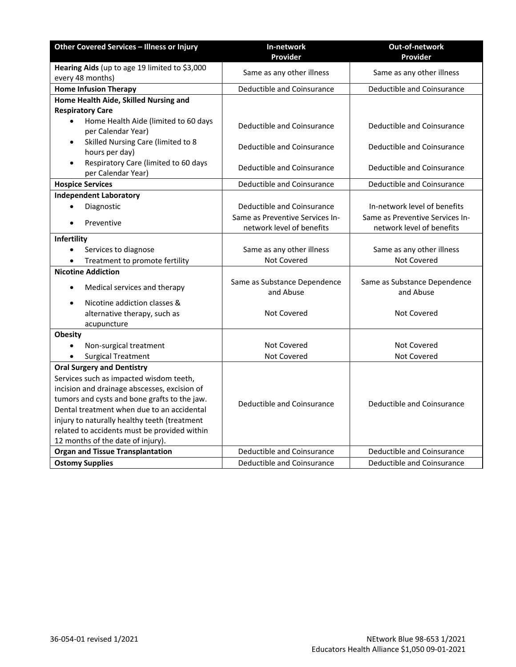| Other Covered Services - Illness or Injury                        | In-network                                | Out-of-network                            |
|-------------------------------------------------------------------|-------------------------------------------|-------------------------------------------|
|                                                                   | Provider                                  | Provider                                  |
| Hearing Aids (up to age 19 limited to \$3,000<br>every 48 months) | Same as any other illness                 | Same as any other illness                 |
| <b>Home Infusion Therapy</b>                                      | <b>Deductible and Coinsurance</b>         | Deductible and Coinsurance                |
| Home Health Aide, Skilled Nursing and                             |                                           |                                           |
| <b>Respiratory Care</b>                                           |                                           |                                           |
| Home Health Aide (limited to 60 days<br>per Calendar Year)        | Deductible and Coinsurance                | Deductible and Coinsurance                |
| Skilled Nursing Care (limited to 8<br>hours per day)              | Deductible and Coinsurance                | Deductible and Coinsurance                |
| Respiratory Care (limited to 60 days<br>per Calendar Year)        | Deductible and Coinsurance                | Deductible and Coinsurance                |
| <b>Hospice Services</b>                                           | Deductible and Coinsurance                | Deductible and Coinsurance                |
| <b>Independent Laboratory</b>                                     |                                           |                                           |
| Diagnostic                                                        | Deductible and Coinsurance                | In-network level of benefits              |
| Preventive                                                        | Same as Preventive Services In-           | Same as Preventive Services In-           |
|                                                                   | network level of benefits                 | network level of benefits                 |
| Infertility                                                       |                                           |                                           |
| Services to diagnose<br>$\bullet$                                 | Same as any other illness                 | Same as any other illness                 |
| Treatment to promote fertility<br>$\bullet$                       | Not Covered                               | Not Covered                               |
| <b>Nicotine Addiction</b>                                         |                                           |                                           |
| Medical services and therapy                                      | Same as Substance Dependence<br>and Abuse | Same as Substance Dependence<br>and Abuse |
| Nicotine addiction classes &                                      |                                           |                                           |
| alternative therapy, such as                                      | <b>Not Covered</b>                        | <b>Not Covered</b>                        |
| acupuncture                                                       |                                           |                                           |
| <b>Obesity</b>                                                    |                                           |                                           |
| Non-surgical treatment                                            | Not Covered                               | Not Covered                               |
| <b>Surgical Treatment</b>                                         | Not Covered                               | Not Covered                               |
| <b>Oral Surgery and Dentistry</b>                                 |                                           |                                           |
| Services such as impacted wisdom teeth,                           |                                           |                                           |
| incision and drainage abscesses, excision of                      |                                           |                                           |
| tumors and cysts and bone grafts to the jaw.                      | Deductible and Coinsurance                | Deductible and Coinsurance                |
| Dental treatment when due to an accidental                        |                                           |                                           |
| injury to naturally healthy teeth (treatment                      |                                           |                                           |
| related to accidents must be provided within                      |                                           |                                           |
| 12 months of the date of injury).                                 |                                           |                                           |
| <b>Organ and Tissue Transplantation</b>                           | Deductible and Coinsurance                | Deductible and Coinsurance                |
| <b>Ostomy Supplies</b>                                            | Deductible and Coinsurance                | Deductible and Coinsurance                |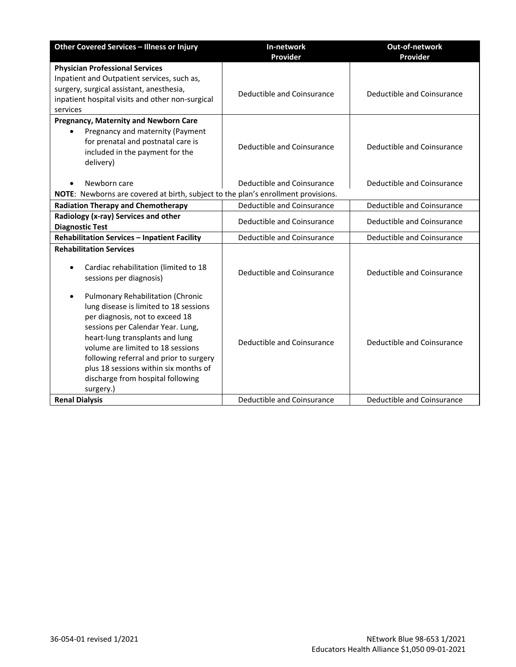| Other Covered Services - Illness or Injury                                                                                                                                                                                                                                                                                                                             | In-network<br>Provider     | Out-of-network<br>Provider |
|------------------------------------------------------------------------------------------------------------------------------------------------------------------------------------------------------------------------------------------------------------------------------------------------------------------------------------------------------------------------|----------------------------|----------------------------|
| <b>Physician Professional Services</b>                                                                                                                                                                                                                                                                                                                                 |                            |                            |
| Inpatient and Outpatient services, such as,<br>surgery, surgical assistant, anesthesia,<br>inpatient hospital visits and other non-surgical<br>services                                                                                                                                                                                                                | Deductible and Coinsurance | Deductible and Coinsurance |
| <b>Pregnancy, Maternity and Newborn Care</b><br>Pregnancy and maternity (Payment<br>for prenatal and postnatal care is<br>included in the payment for the<br>delivery)                                                                                                                                                                                                 | Deductible and Coinsurance | Deductible and Coinsurance |
| Newborn care                                                                                                                                                                                                                                                                                                                                                           | Deductible and Coinsurance | Deductible and Coinsurance |
| NOTE: Newborns are covered at birth, subject to the plan's enrollment provisions.                                                                                                                                                                                                                                                                                      |                            |                            |
| <b>Radiation Therapy and Chemotherapy</b>                                                                                                                                                                                                                                                                                                                              | Deductible and Coinsurance | Deductible and Coinsurance |
| Radiology (x-ray) Services and other<br><b>Diagnostic Test</b>                                                                                                                                                                                                                                                                                                         | Deductible and Coinsurance | Deductible and Coinsurance |
| Rehabilitation Services - Inpatient Facility                                                                                                                                                                                                                                                                                                                           | Deductible and Coinsurance | Deductible and Coinsurance |
| <b>Rehabilitation Services</b><br>Cardiac rehabilitation (limited to 18<br>sessions per diagnosis)                                                                                                                                                                                                                                                                     | Deductible and Coinsurance | Deductible and Coinsurance |
| Pulmonary Rehabilitation (Chronic<br>٠<br>lung disease is limited to 18 sessions<br>per diagnosis, not to exceed 18<br>sessions per Calendar Year. Lung,<br>heart-lung transplants and lung<br>volume are limited to 18 sessions<br>following referral and prior to surgery<br>plus 18 sessions within six months of<br>discharge from hospital following<br>surgery.) | Deductible and Coinsurance | Deductible and Coinsurance |
| <b>Renal Dialysis</b>                                                                                                                                                                                                                                                                                                                                                  | Deductible and Coinsurance | Deductible and Coinsurance |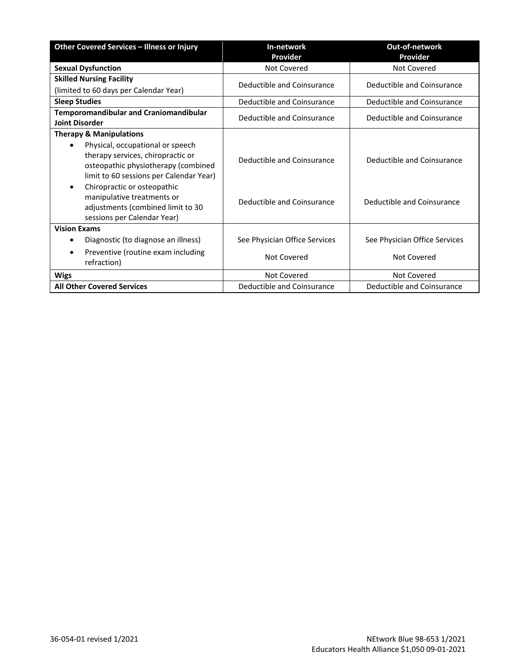| Other Covered Services - Illness or Injury                                                                                                              | In-network                    | Out-of-network                |
|---------------------------------------------------------------------------------------------------------------------------------------------------------|-------------------------------|-------------------------------|
|                                                                                                                                                         | Provider                      | Provider                      |
| <b>Sexual Dysfunction</b>                                                                                                                               | Not Covered                   | Not Covered                   |
| <b>Skilled Nursing Facility</b>                                                                                                                         | Deductible and Coinsurance    | Deductible and Coinsurance    |
| (limited to 60 days per Calendar Year)                                                                                                                  |                               |                               |
| <b>Sleep Studies</b>                                                                                                                                    | Deductible and Coinsurance    | Deductible and Coinsurance    |
| <b>Temporomandibular and Craniomandibular</b><br><b>Joint Disorder</b>                                                                                  | Deductible and Coinsurance    | Deductible and Coinsurance    |
| <b>Therapy &amp; Manipulations</b>                                                                                                                      |                               |                               |
| Physical, occupational or speech<br>therapy services, chiropractic or<br>osteopathic physiotherapy (combined<br>limit to 60 sessions per Calendar Year) | Deductible and Coinsurance    | Deductible and Coinsurance    |
| Chiropractic or osteopathic<br>$\bullet$<br>manipulative treatments or<br>adjustments (combined limit to 30<br>sessions per Calendar Year)              | Deductible and Coinsurance    | Deductible and Coinsurance    |
| <b>Vision Exams</b>                                                                                                                                     |                               |                               |
| Diagnostic (to diagnose an illness)<br>٠                                                                                                                | See Physician Office Services | See Physician Office Services |
| Preventive (routine exam including<br>٠<br>refraction)                                                                                                  | Not Covered                   | Not Covered                   |
| <b>Wigs</b>                                                                                                                                             | Not Covered                   | Not Covered                   |
| <b>All Other Covered Services</b>                                                                                                                       | Deductible and Coinsurance    | Deductible and Coinsurance    |